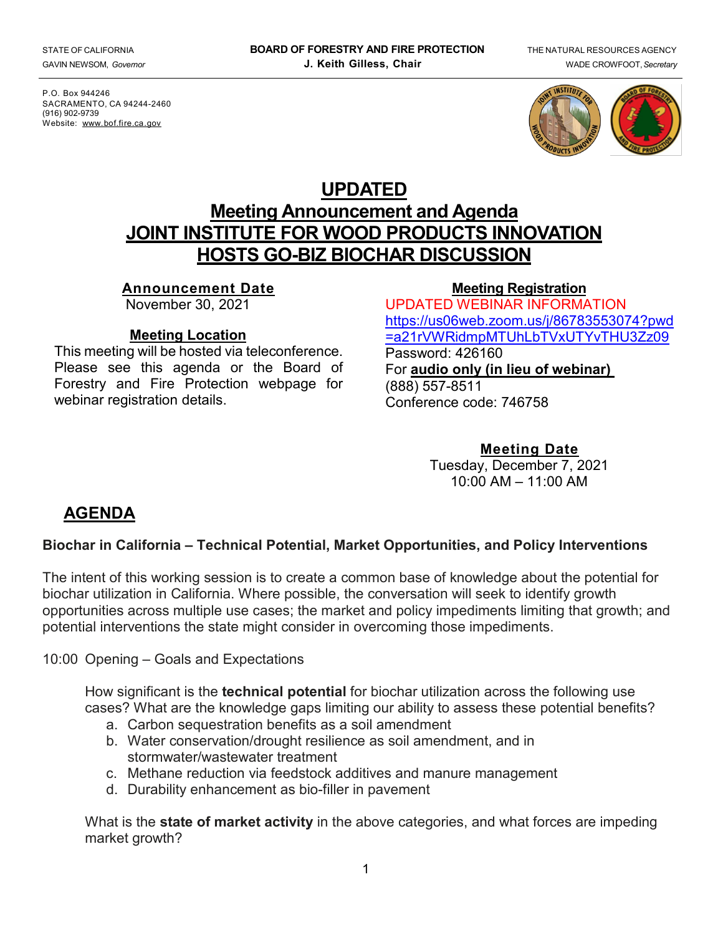P.O. Box 944246 SACRAMENTO, CA 94244-2460 (916) 902-9739 Website: [www.bof.fire.ca.gov](http://www.bof.fire.ca.gov/)



# **UPDATED Meeting Announcement and Agenda JOINT INSTITUTE FOR WOOD PRODUCTS INNOVATION HOSTS GO-BIZ BIOCHAR DISCUSSION**

#### **Announcement Date**

November 30, 2021

#### **Meeting Location**

This meeting will be hosted via teleconference. Please see this agenda or the Board of Forestry and Fire Protection webpage for webinar registration details.

#### **[Meeting Registration](https://attendee.gotowebinar.com/register/4831426023569269262)** UPDATED WEBINAR INFORMATION [https://us06web.zoom.us/j/86783553074?pwd](https://us06web.zoom.us/j/86783553074?pwd=a21rVWRidmpMTUhLbTVxUTYvTHU3Zz09) [=a21rVWRidmpMTUhLbTVxUTYvTHU3Zz09](https://us06web.zoom.us/j/86783553074?pwd=a21rVWRidmpMTUhLbTVxUTYvTHU3Zz09) Password: 426160 For **audio only (in lieu of webinar)** (888) 557-8511 Conference code: 746758

#### **Meeting Date**

Tuesday, December 7, 2021  $10:00$  AM  $- 11:00$  AM

# **AGENDA**

# **Biochar in California – Technical Potential, Market Opportunities, and Policy Interventions**

The intent of this working session is to create a common base of knowledge about the potential for biochar utilization in California. Where possible, the conversation will seek to identify growth opportunities across multiple use cases; the market and policy impediments limiting that growth; and potential interventions the state might consider in overcoming those impediments.

10:00 Opening – Goals and Expectations

How significant is the **technical potential** for biochar utilization across the following use cases? What are the knowledge gaps limiting our ability to assess these potential benefits?

- a. Carbon sequestration benefits as a soil amendment
- b. Water conservation/drought resilience as soil amendment, and in stormwater/wastewater treatment
- c. Methane reduction via feedstock additives and manure management
- d. Durability enhancement as bio-filler in pavement

What is the **state of market activity** in the above categories, and what forces are impeding market growth?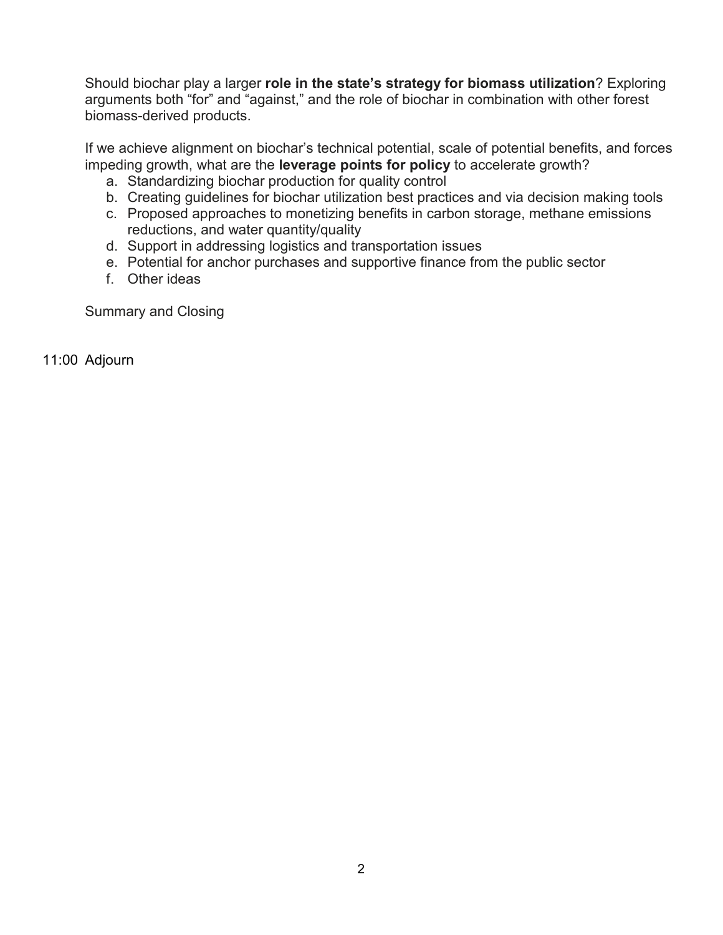Should biochar play a larger **role in the state's strategy for biomass utilization**? Exploring arguments both "for" and "against," and the role of biochar in combination with other forest biomass-derived products.

If we achieve alignment on biochar's technical potential, scale of potential benefits, and forces impeding growth, what are the **leverage points for policy** to accelerate growth?

- a. Standardizing biochar production for quality control
- b. Creating guidelines for biochar utilization best practices and via decision making tools
- c. Proposed approaches to monetizing benefits in carbon storage, methane emissions reductions, and water quantity/quality
- d. Support in addressing logistics and transportation issues
- e. Potential for anchor purchases and supportive finance from the public sector
- f. Other ideas

Summary and Closing

11:00 Adjourn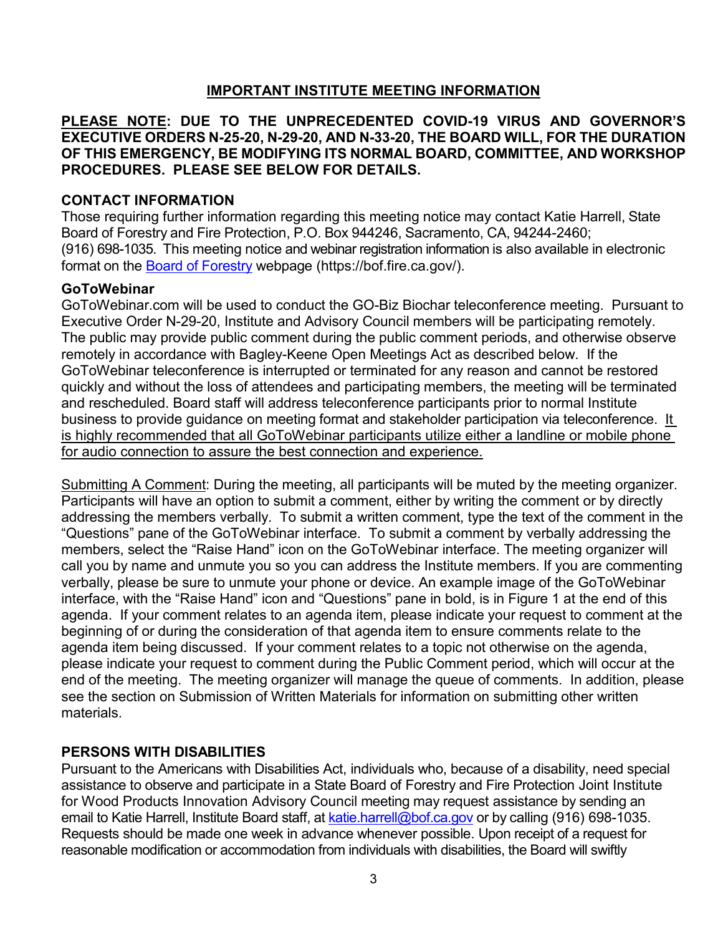# **IMPORTANT INSTITUTE MEETING INFORMATION**

#### **PLEASE NOTE: DUE TO THE UNPRECEDENTED COVID-19 VIRUS AND GOVERNOR'S EXECUTIVE ORDERS N-25-20, N-29-20, AND N-33-20, THE BOARD WILL, FOR THE DURATION OF THIS EMERGENCY, BE MODIFYING ITS NORMAL BOARD, COMMITTEE, AND WORKSHOP PROCEDURES. PLEASE SEE BELOW FOR DETAILS.**

#### **CONTACT INFORMATION**

Those requiring further information regarding this meeting notice may contact Katie Harrell, State Board of Forestry and Fire Protection, P.O. Box 944246, Sacramento, CA, 94244-2460; (916) 698-1035. This meeting notice and webinar registration information is also available in electronic format on the [Board of Forestry](file://fphq01/Root/Data/Board_of_Forestry/Committees/Joint%20Institute%20for%20Wood%20Products%20Innovation/Advisory%20Council%20Agendas%20and%20Mtgs/2021/8.16.21/Board%20of%20Forestry) webpage (https://bof.fire.ca.gov/[\).](file://fphq01/Root/Data/Board_of_Forestry/Board%20Business/Agendas%20and%20Minutes/1%20Agendas/2019/.%20)

#### **GoToWebinar**

GoToWebinar.com will be used to conduct the GO-Biz Biochar teleconference meeting. Pursuant to Executive Order N-29-20, Institute and Advisory Council members will be participating remotely. The public may provide public comment during the public comment periods, and otherwise observe remotely in accordance with Bagley-Keene Open Meetings Act as described below. If the GoToWebinar teleconference is interrupted or terminated for any reason and cannot be restored quickly and without the loss of attendees and participating members, the meeting will be terminated and rescheduled. Board staff will address teleconference participants prior to normal Institute business to provide guidance on meeting format and stakeholder participation via teleconference. It is highly recommended that all GoToWebinar participants utilize either a landline or mobile phone for audio connection to assure the best connection and experience.

Submitting A Comment: During the meeting, all participants will be muted by the meeting organizer. Participants will have an option to submit a comment, either by writing the comment or by directly addressing the members verbally. To submit a written comment, type the text of the comment in the "Questions" pane of the GoToWebinar interface. To submit a comment by verbally addressing the members, select the "Raise Hand" icon on the GoToWebinar interface. The meeting organizer will call you by name and unmute you so you can address the Institute members. If you are commenting verbally, please be sure to unmute your phone or device. An example image of the GoToWebinar interface, with the "Raise Hand" icon and "Questions" pane in bold, is in Figure 1 at the end of this agenda. If your comment relates to an agenda item, please indicate your request to comment at the beginning of or during the consideration of that agenda item to ensure comments relate to the agenda item being discussed. If your comment relates to a topic not otherwise on the agenda, please indicate your request to comment during the Public Comment period, which will occur at the end of the meeting. The meeting organizer will manage the queue of comments. In addition, please see the section on Submission of Written Materials for information on submitting other written materials.

# **PERSONS WITH DISABILITIES**

Pursuant to the Americans with Disabilities Act, individuals who, because of a disability, need special assistance to observe and participate in a State Board of Forestry and Fire Protection Joint Institute for Wood Products Innovation Advisory Council meeting may request assistance by sending an email to Katie Harrell, Institute Board staff, at katie harrell@bof.ca.gov or by calling (916) 698-1035. Requests should be made one week in advance whenever possible. Upon receipt of a request for reasonable modification or accommodation from individuals with disabilities, the Board will swiftly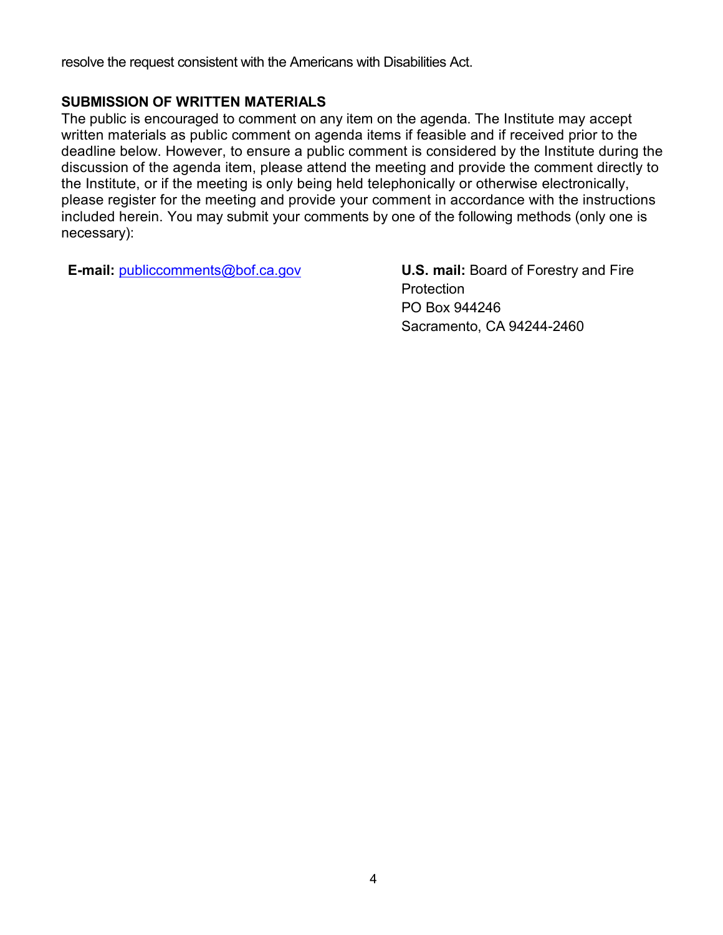resolve the request consistent with the Americans with Disabilities Act.

### **SUBMISSION OF WRITTEN MATERIALS**

The public is encouraged to comment on any item on the agenda. The Institute may accept written materials as public comment on agenda items if feasible and if received prior to the deadline below. However, to ensure a public comment is considered by the Institute during the discussion of the agenda item, please attend the meeting and provide the comment directly to the Institute, or if the meeting is only being held telephonically or otherwise electronically, please register for the meeting and provide your comment in accordance with the instructions included herein. You may submit your comments by one of the following methods (only one is necessary):

**E-mail:** [publiccomments@bof.ca.gov](mailto:publiccomments@bof.ca.gov) **U.S. mail:** Board of Forestry and Fire

**Protection** PO Box 944246 Sacramento, CA 94244-2460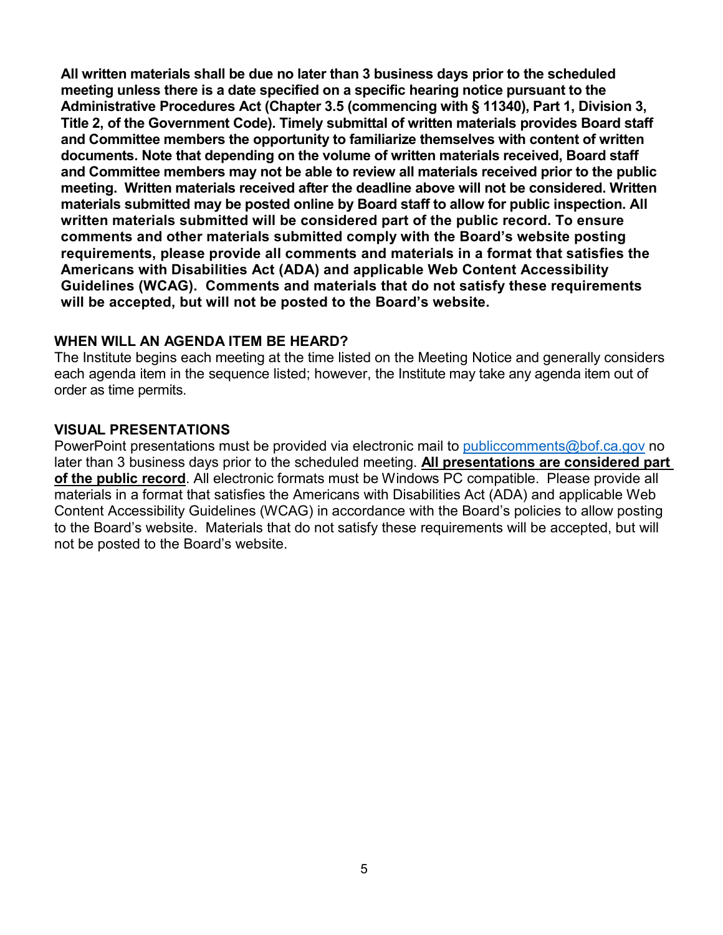**All written materials shall be due no later than 3 business days prior to the scheduled meeting unless there is a date specified on a specific hearing notice pursuant to the Administrative Procedures Act (Chapter 3.5 (commencing with § 11340), Part 1, Division 3, Title 2, of the Government Code). Timely submittal of written materials provides Board staff and Committee members the opportunity to familiarize themselves with content of written documents. Note that depending on the volume of written materials received, Board staff and Committee members may not be able to review all materials received prior to the public meeting. Written materials received after the deadline above will not be considered. Written materials submitted may be posted online by Board staff to allow for public inspection. All written materials submitted will be considered part of the public record. To ensure comments and other materials submitted comply with the Board's website posting requirements, please provide all comments and materials in a format that satisfies the Americans with Disabilities Act (ADA) and applicable Web Content Accessibility Guidelines (WCAG). Comments and materials that do not satisfy these requirements will be accepted, but will not be posted to the Board's website.** 

#### **WHEN WILL AN AGENDA ITEM BE HEARD?**

The Institute begins each meeting at the time listed on the Meeting Notice and generally considers each agenda item in the sequence listed; however, the Institute may take any agenda item out of order as time permits.

#### **VISUAL PRESENTATIONS**

PowerPoint presentations must be provided via electronic mail to [publiccomments@bof.ca.gov](mailto:publiccomments@bof.ca.gov) no later than 3 business days prior to the scheduled meeting. **All presentations are considered part of the public record**. All electronic formats must be Windows PC compatible. Please provide all materials in a format that satisfies the Americans with Disabilities Act (ADA) and applicable Web Content Accessibility Guidelines (WCAG) in accordance with the Board's policies to allow posting to the Board's website. Materials that do not satisfy these requirements will be accepted, but will not be posted to the Board's website.